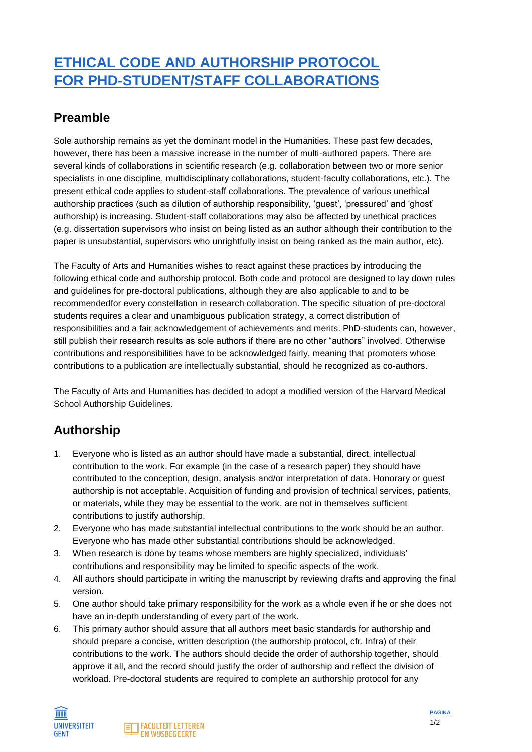## **ETHICAL CODE AND AUTHORSHIP PROTOCOL FOR PHD-STUDENT/STAFF COLLABORATIONS**

## **Preamble**

Sole authorship remains as yet the dominant model in the Humanities. These past few decades, however, there has been a massive increase in the number of multi-authored papers. There are several kinds of collaborations in scientific research (e.g. collaboration between two or more senior specialists in one discipline, multidisciplinary collaborations, student-faculty collaborations, etc.). The present ethical code applies to student-staff collaborations. The prevalence of various unethical authorship practices (such as dilution of authorship responsibility, 'guest', 'pressured' and 'ghost' authorship) is increasing. Student-staff collaborations may also be affected by unethical practices (e.g. dissertation supervisors who insist on being listed as an author although their contribution to the paper is unsubstantial, supervisors who unrightfully insist on being ranked as the main author, etc).

The Faculty of Arts and Humanities wishes to react against these practices by introducing the following ethical code and authorship protocol. Both code and protocol are designed to lay down rules and guidelines for pre-doctoral publications, although they are also applicable to and to be recommendedfor every constellation in research collaboration. The specific situation of pre-doctoral students requires a clear and unambiguous publication strategy, a correct distribution of responsibilities and a fair acknowledgement of achievements and merits. PhD-students can, however, still publish their research results as sole authors if there are no other "authors" involved. Otherwise contributions and responsibilities have to be acknowledged fairly, meaning that promoters whose contributions to a publication are intellectually substantial, should he recognized as co-authors.

The Faculty of Arts and Humanities has decided to adopt a modified version of the Harvard Medical School Authorship Guidelines.

## **Authorship**

- 1. Everyone who is listed as an author should have made a substantial, direct, intellectual contribution to the work. For example (in the case of a research paper) they should have contributed to the conception, design, analysis and/or interpretation of data. Honorary or guest authorship is not acceptable. Acquisition of funding and provision of technical services, patients, or materials, while they may be essential to the work, are not in themselves sufficient contributions to justify authorship.
- 2. Everyone who has made substantial intellectual contributions to the work should be an author. Everyone who has made other substantial contributions should be acknowledged.
- 3. When research is done by teams whose members are highly specialized, individuals' contributions and responsibility may be limited to specific aspects of the work.
- 4. All authors should participate in writing the manuscript by reviewing drafts and approving the final version.
- 5. One author should take primary responsibility for the work as a whole even if he or she does not have an in-depth understanding of every part of the work.
- 6. This primary author should assure that all authors meet basic standards for authorship and should prepare a concise, written description (the authorship protocol, cfr. Infra) of their contributions to the work. The authors should decide the order of authorship together, should approve it all, and the record should justify the order of authorship and reflect the division of workload. Pre-doctoral students are required to complete an authorship protocol for any